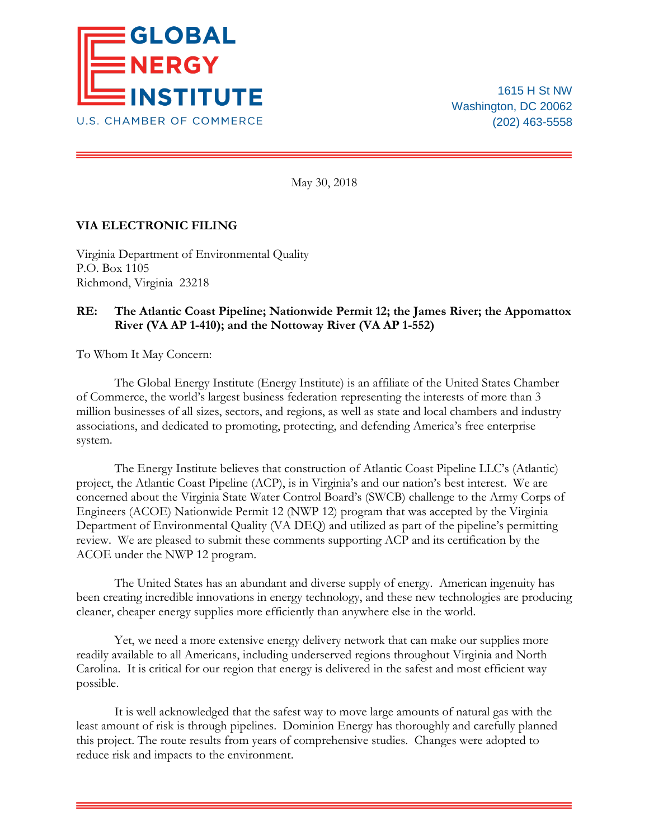

1615 H St NW Washington, DC 20062 (202) 463-5558

May 30, 2018

## **VIA ELECTRONIC FILING**

Virginia Department of Environmental Quality P.O. Box 1105 Richmond, Virginia 23218

## **RE: The Atlantic Coast Pipeline; Nationwide Permit 12; the James River; the Appomattox River (VA AP 1-410); and the Nottoway River (VA AP 1-552)**

To Whom It May Concern:

The Global Energy Institute (Energy Institute) is an affiliate of the United States Chamber of Commerce, the world's largest business federation representing the interests of more than 3 million businesses of all sizes, sectors, and regions, as well as state and local chambers and industry associations, and dedicated to promoting, protecting, and defending America's free enterprise system.

The Energy Institute believes that construction of Atlantic Coast Pipeline LLC's (Atlantic) project, the Atlantic Coast Pipeline (ACP), is in Virginia's and our nation's best interest. We are concerned about the Virginia State Water Control Board's (SWCB) challenge to the Army Corps of Engineers (ACOE) Nationwide Permit 12 (NWP 12) program that was accepted by the Virginia Department of Environmental Quality (VA DEQ) and utilized as part of the pipeline's permitting review. We are pleased to submit these comments supporting ACP and its certification by the ACOE under the NWP 12 program.

The United States has an abundant and diverse supply of energy. American ingenuity has been creating incredible innovations in energy technology, and these new technologies are producing cleaner, cheaper energy supplies more efficiently than anywhere else in the world.

Yet, we need a more extensive energy delivery network that can make our supplies more readily available to all Americans, including underserved regions throughout Virginia and North Carolina. It is critical for our region that energy is delivered in the safest and most efficient way possible.

It is well acknowledged that the safest way to move large amounts of natural gas with the least amount of risk is through pipelines. Dominion Energy has thoroughly and carefully planned this project. The route results from years of comprehensive studies. Changes were adopted to reduce risk and impacts to the environment.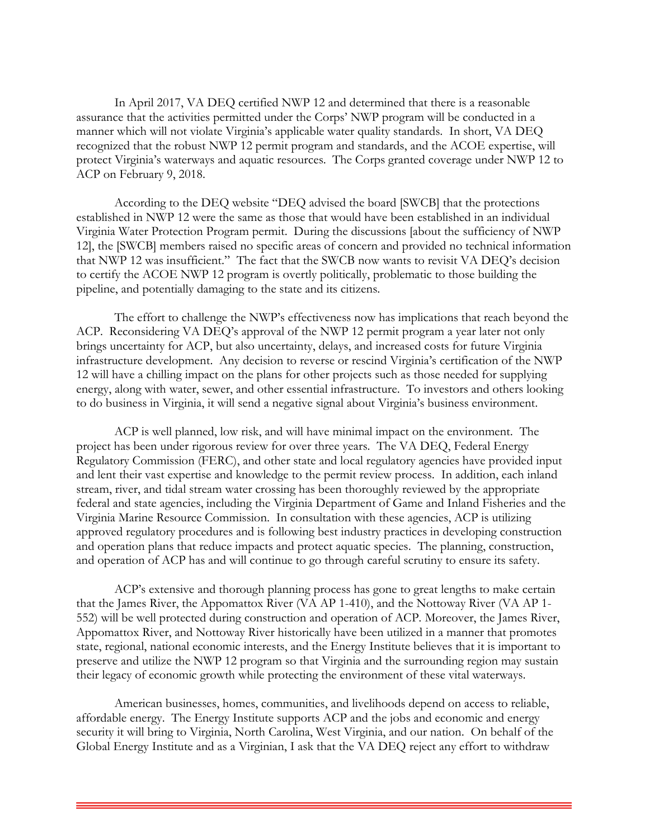In April 2017, VA DEQ certified NWP 12 and determined that there is a reasonable assurance that the activities permitted under the Corps' NWP program will be conducted in a manner which will not violate Virginia's applicable water quality standards. In short, VA DEQ recognized that the robust NWP 12 permit program and standards, and the ACOE expertise, will protect Virginia's waterways and aquatic resources. The Corps granted coverage under NWP 12 to ACP on February 9, 2018.

According to the DEQ website "DEQ advised the board [SWCB] that the protections established in NWP 12 were the same as those that would have been established in an individual Virginia Water Protection Program permit. During the discussions [about the sufficiency of NWP 12], the [SWCB] members raised no specific areas of concern and provided no technical information that NWP 12 was insufficient." The fact that the SWCB now wants to revisit VA DEQ's decision to certify the ACOE NWP 12 program is overtly politically, problematic to those building the pipeline, and potentially damaging to the state and its citizens.

The effort to challenge the NWP's effectiveness now has implications that reach beyond the ACP. Reconsidering VA DEQ's approval of the NWP 12 permit program a year later not only brings uncertainty for ACP, but also uncertainty, delays, and increased costs for future Virginia infrastructure development. Any decision to reverse or rescind Virginia's certification of the NWP 12 will have a chilling impact on the plans for other projects such as those needed for supplying energy, along with water, sewer, and other essential infrastructure. To investors and others looking to do business in Virginia, it will send a negative signal about Virginia's business environment.

ACP is well planned, low risk, and will have minimal impact on the environment. The project has been under rigorous review for over three years. The VA DEQ, Federal Energy Regulatory Commission (FERC), and other state and local regulatory agencies have provided input and lent their vast expertise and knowledge to the permit review process. In addition, each inland stream, river, and tidal stream water crossing has been thoroughly reviewed by the appropriate federal and state agencies, including the Virginia Department of Game and Inland Fisheries and the Virginia Marine Resource Commission. In consultation with these agencies, ACP is utilizing approved regulatory procedures and is following best industry practices in developing construction and operation plans that reduce impacts and protect aquatic species. The planning, construction, and operation of ACP has and will continue to go through careful scrutiny to ensure its safety.

ACP's extensive and thorough planning process has gone to great lengths to make certain that the James River, the Appomattox River (VA AP 1-410), and the Nottoway River (VA AP 1- 552) will be well protected during construction and operation of ACP. Moreover, the James River, Appomattox River, and Nottoway River historically have been utilized in a manner that promotes state, regional, national economic interests, and the Energy Institute believes that it is important to preserve and utilize the NWP 12 program so that Virginia and the surrounding region may sustain their legacy of economic growth while protecting the environment of these vital waterways.

American businesses, homes, communities, and livelihoods depend on access to reliable, affordable energy. The Energy Institute supports ACP and the jobs and economic and energy security it will bring to Virginia, North Carolina, West Virginia, and our nation. On behalf of the Global Energy Institute and as a Virginian, I ask that the VA DEQ reject any effort to withdraw